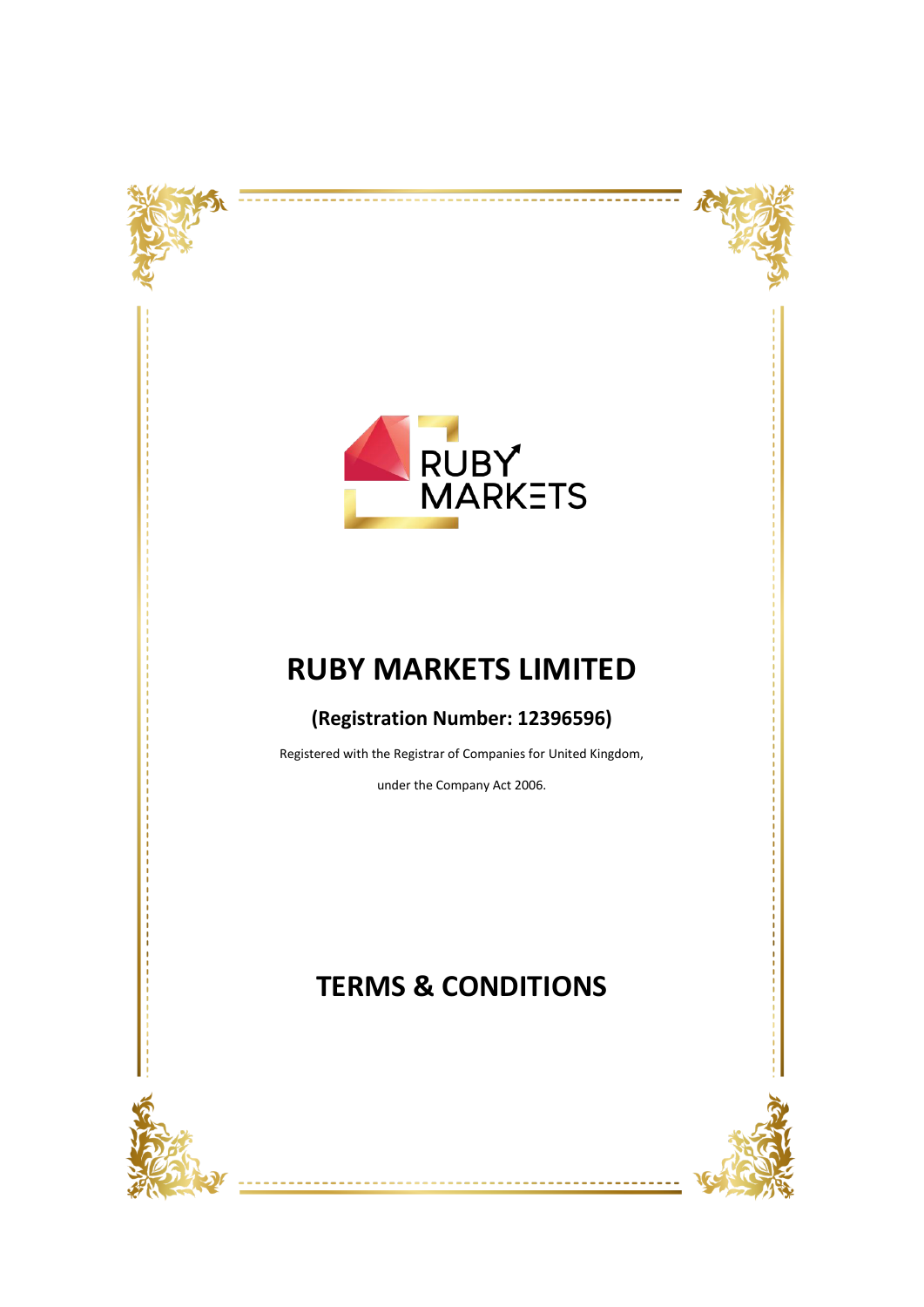



<u> -------</u>

---------

# **RUBY MARKETS LIMITED**

### **(Registration Number: 12396596)**

Registered with the Registrar of Companies for United Kingdom,

under the Company Act 2006.

## **TERMS & CONDITIONS**



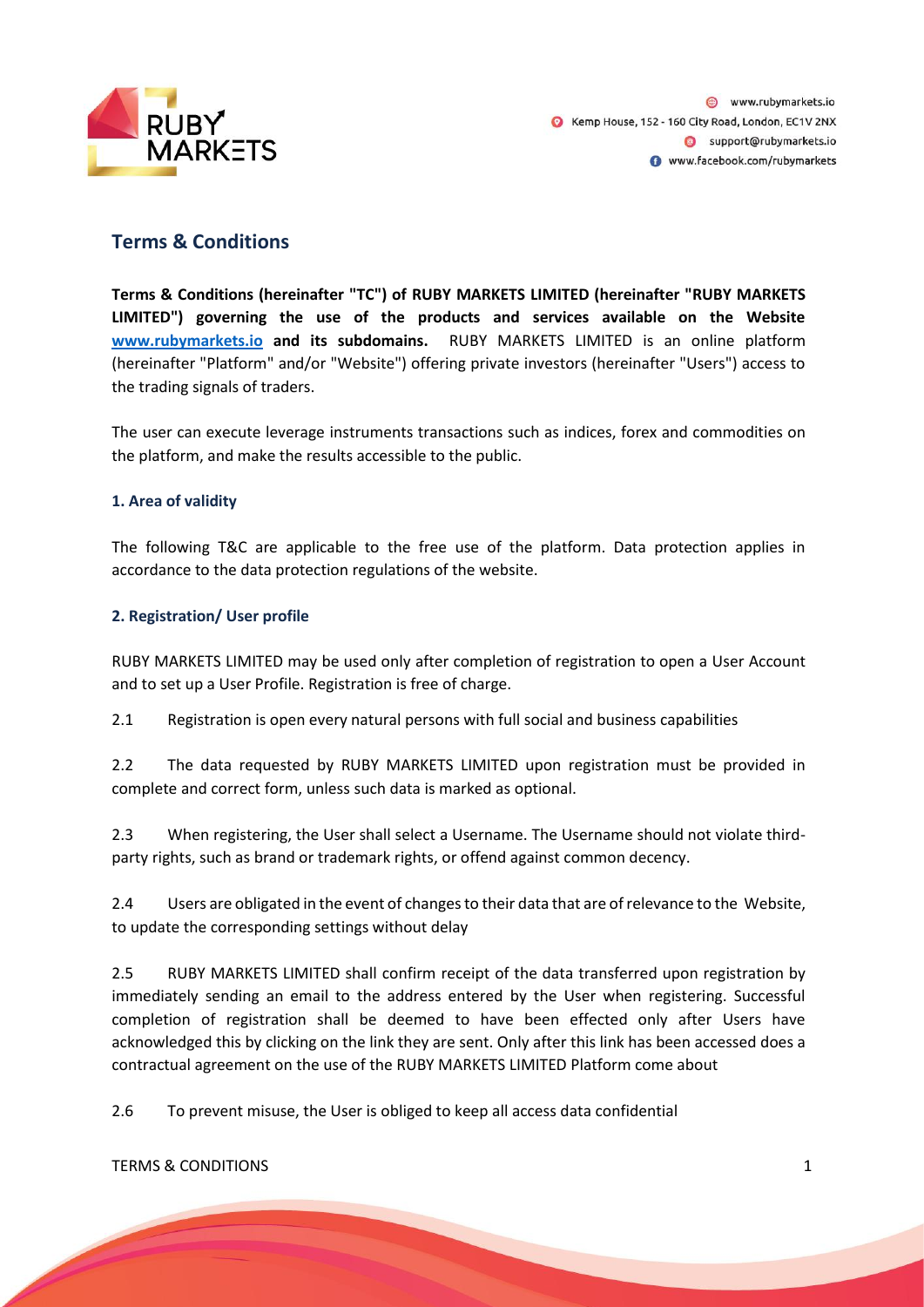

### **Terms & Conditions**

**Terms & Conditions (hereinafter "TC") of RUBY MARKETS LIMITED (hereinafter "RUBY MARKETS LIMITED") governing the use of the products and services available on the Website [www.rubymarkets.io](http://www.rubymarkets.io/) and its subdomains.** RUBY MARKETS LIMITED is an online platform (hereinafter "Platform" and/or "Website") offering private investors (hereinafter "Users") access to the trading signals of traders.

The user can execute leverage instruments transactions such as indices, forex and commodities on the platform, and make the results accessible to the public.

#### **1. Area of validity**

The following T&C are applicable to the free use of the platform. Data protection applies in accordance to the data protection regulations of the website.

#### **2. Registration/ User profile**

RUBY MARKETS LIMITED may be used only after completion of registration to open a User Account and to set up a User Profile. Registration is free of charge.

2.1 Registration is open every natural persons with full social and business capabilities

2.2 The data requested by RUBY MARKETS LIMITED upon registration must be provided in complete and correct form, unless such data is marked as optional.

2.3 When registering, the User shall select a Username. The Username should not violate thirdparty rights, such as brand or trademark rights, or offend against common decency.

2.4 Users are obligated in the event of changes to their data that are of relevance to the Website, to update the corresponding settings without delay

2.5 RUBY MARKETS LIMITED shall confirm receipt of the data transferred upon registration by immediately sending an email to the address entered by the User when registering. Successful completion of registration shall be deemed to have been effected only after Users have acknowledged this by clicking on the link they are sent. Only after this link has been accessed does a contractual agreement on the use of the RUBY MARKETS LIMITED Platform come about

2.6 To prevent misuse, the User is obliged to keep all access data confidential

TERMS & CONDITIONS 1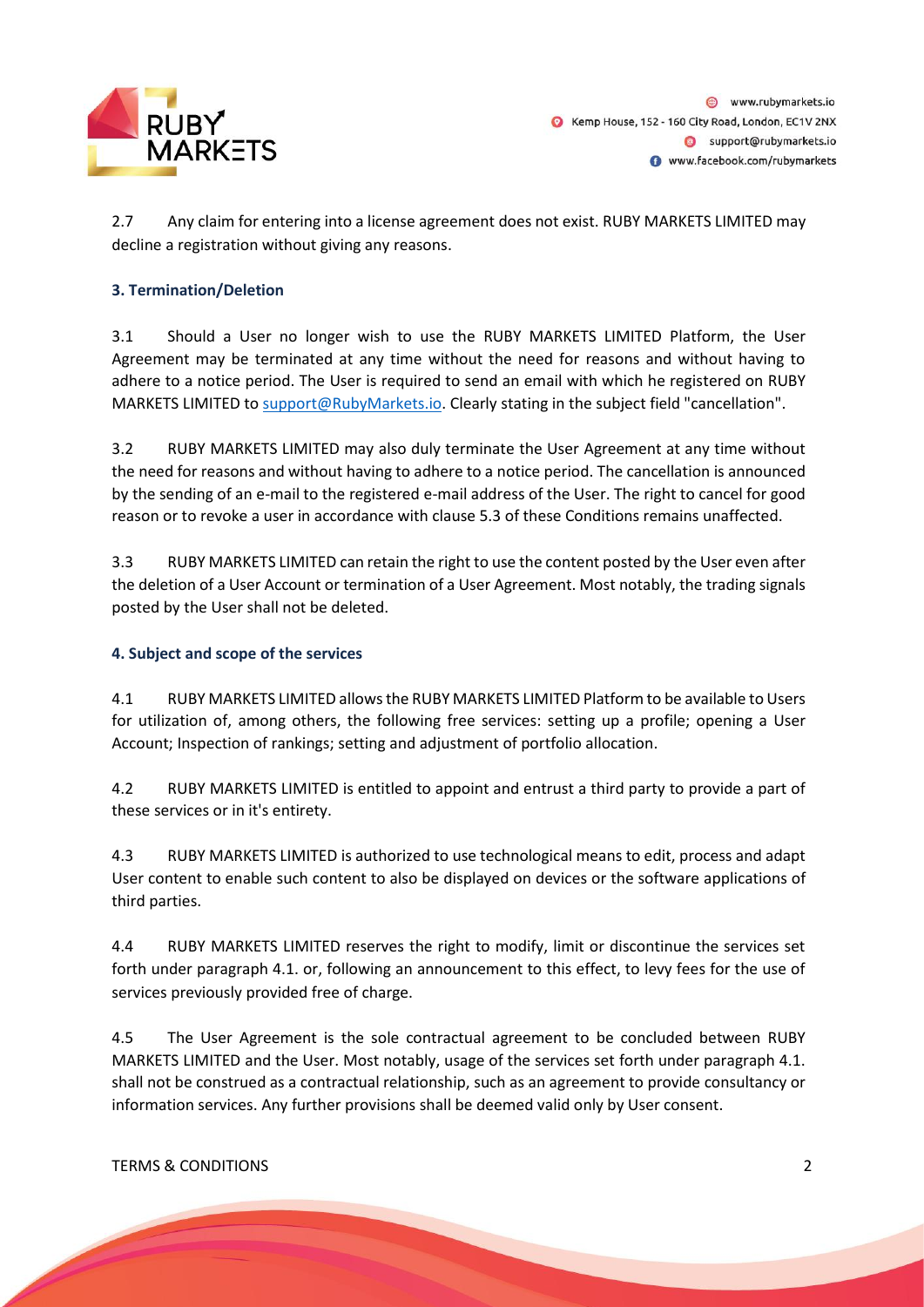

2.7 Any claim for entering into a license agreement does not exist. RUBY MARKETS LIMITED may decline a registration without giving any reasons.

#### **3. Termination/Deletion**

3.1 Should a User no longer wish to use the RUBY MARKETS LIMITED Platform, the User Agreement may be terminated at any time without the need for reasons and without having to adhere to a notice period. The User is required to send an email with which he registered on RUBY MARKETS LIMITED to support@RubyMarkets.io. Clearly stating in the subject field "cancellation".

3.2 RUBY MARKETS LIMITED may also duly terminate the User Agreement at any time without the need for reasons and without having to adhere to a notice period. The cancellation is announced by the sending of an e-mail to the registered e-mail address of the User. The right to cancel for good reason or to revoke a user in accordance with clause 5.3 of these Conditions remains unaffected.

3.3 RUBY MARKETS LIMITED can retain the right to use the content posted by the User even after the deletion of a User Account or termination of a User Agreement. Most notably, the trading signals posted by the User shall not be deleted.

#### **4. Subject and scope of the services**

4.1 RUBY MARKETS LIMITED allows the RUBY MARKETS LIMITED Platform to be available to Users for utilization of, among others, the following free services: setting up a profile; opening a User Account; Inspection of rankings; setting and adjustment of portfolio allocation.

4.2 RUBY MARKETS LIMITED is entitled to appoint and entrust a third party to provide a part of these services or in it's entirety.

4.3 RUBY MARKETS LIMITED is authorized to use technological means to edit, process and adapt User content to enable such content to also be displayed on devices or the software applications of third parties.

4.4 RUBY MARKETS LIMITED reserves the right to modify, limit or discontinue the services set forth under paragraph 4.1. or, following an announcement to this effect, to levy fees for the use of services previously provided free of charge.

4.5 The User Agreement is the sole contractual agreement to be concluded between RUBY MARKETS LIMITED and the User. Most notably, usage of the services set forth under paragraph 4.1. shall not be construed as a contractual relationship, such as an agreement to provide consultancy or information services. Any further provisions shall be deemed valid only by User consent.

TERMS & CONDITIONS 2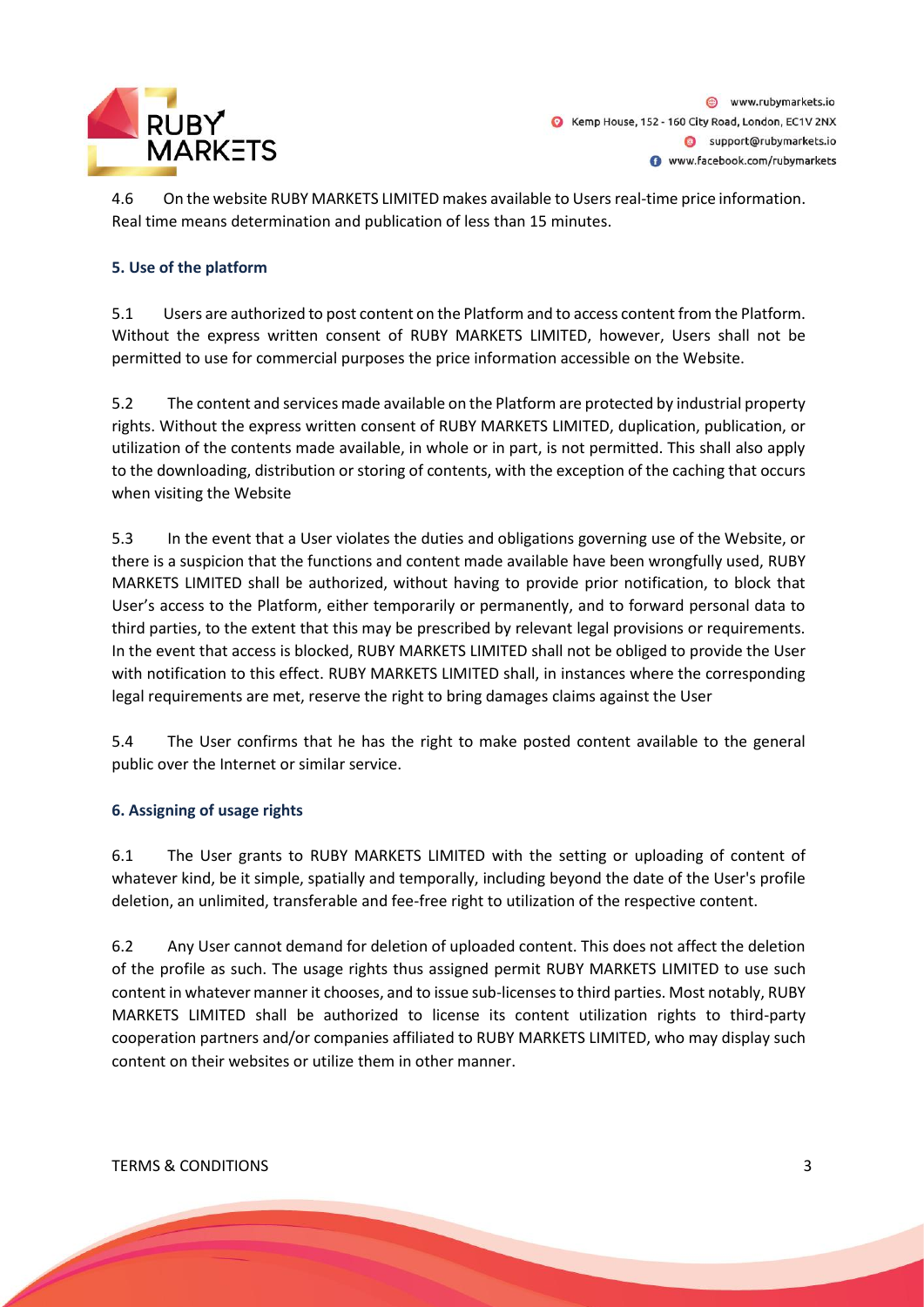

4.6 On the website RUBY MARKETS LIMITED makes available to Users real-time price information. Real time means determination and publication of less than 15 minutes.

#### **5. Use of the platform**

5.1 Users are authorized to post content on the Platform and to access content from the Platform. Without the express written consent of RUBY MARKETS LIMITED, however, Users shall not be permitted to use for commercial purposes the price information accessible on the Website.

5.2 The content and services made available on the Platform are protected by industrial property rights. Without the express written consent of RUBY MARKETS LIMITED, duplication, publication, or utilization of the contents made available, in whole or in part, is not permitted. This shall also apply to the downloading, distribution or storing of contents, with the exception of the caching that occurs when visiting the Website

5.3 In the event that a User violates the duties and obligations governing use of the Website, or there is a suspicion that the functions and content made available have been wrongfully used, RUBY MARKETS LIMITED shall be authorized, without having to provide prior notification, to block that User's access to the Platform, either temporarily or permanently, and to forward personal data to third parties, to the extent that this may be prescribed by relevant legal provisions or requirements. In the event that access is blocked, RUBY MARKETS LIMITED shall not be obliged to provide the User with notification to this effect. RUBY MARKETS LIMITED shall, in instances where the corresponding legal requirements are met, reserve the right to bring damages claims against the User

5.4 The User confirms that he has the right to make posted content available to the general public over the Internet or similar service.

#### **6. Assigning of usage rights**

6.1 The User grants to RUBY MARKETS LIMITED with the setting or uploading of content of whatever kind, be it simple, spatially and temporally, including beyond the date of the User's profile deletion, an unlimited, transferable and fee-free right to utilization of the respective content.

6.2 Any User cannot demand for deletion of uploaded content. This does not affect the deletion of the profile as such. The usage rights thus assigned permit RUBY MARKETS LIMITED to use such content in whatever manner it chooses, and to issue sub-licenses to third parties. Most notably, RUBY MARKETS LIMITED shall be authorized to license its content utilization rights to third-party cooperation partners and/or companies affiliated to RUBY MARKETS LIMITED, who may display such content on their websites or utilize them in other manner.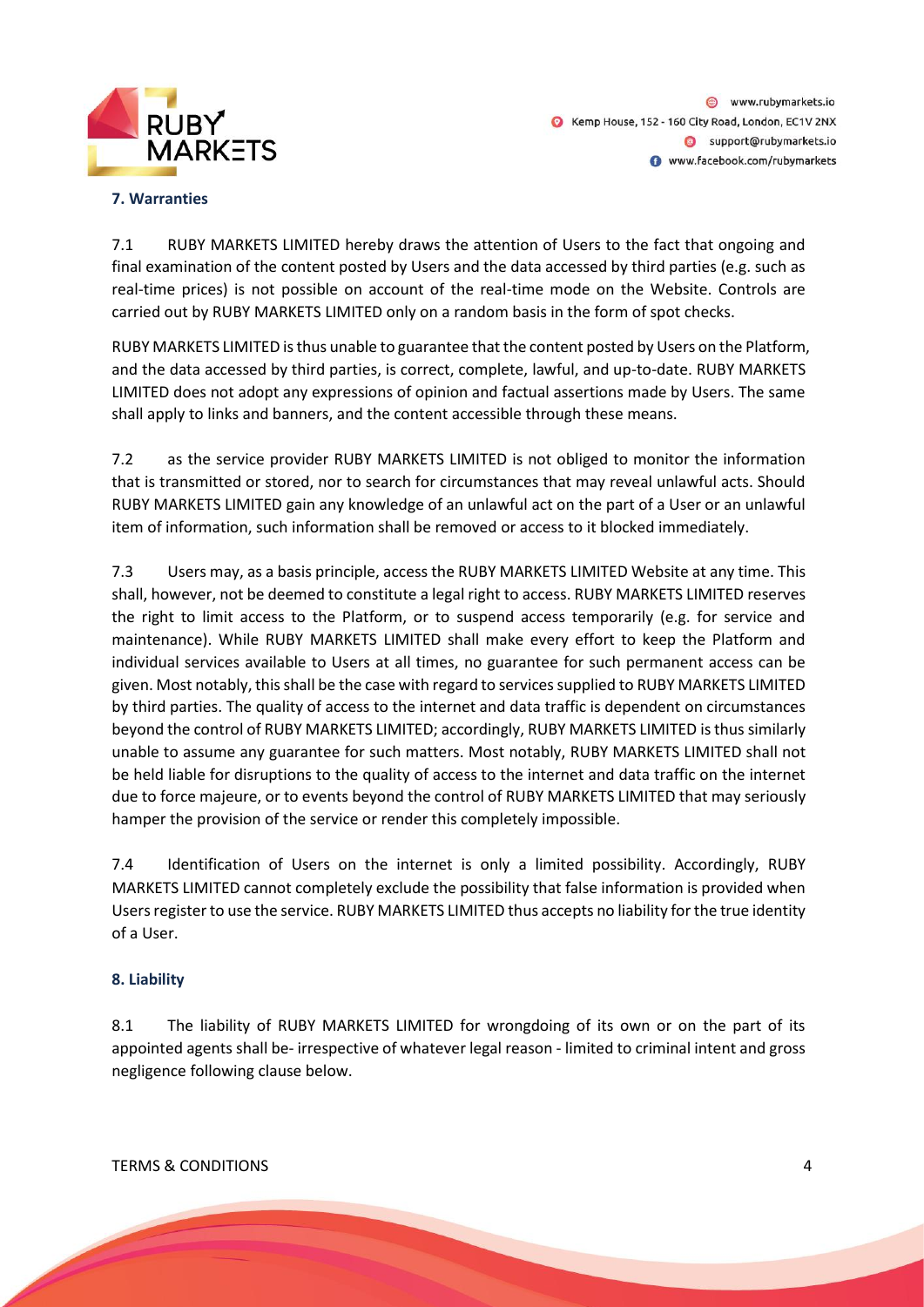

@ www.rubymarkets.io Kemp House, 152 - 160 City Road, London, EC1V 2NX Support@rubymarkets.io www.facebook.com/rubymarkets

#### **7. Warranties**

7.1 RUBY MARKETS LIMITED hereby draws the attention of Users to the fact that ongoing and final examination of the content posted by Users and the data accessed by third parties (e.g. such as real-time prices) is not possible on account of the real-time mode on the Website. Controls are carried out by RUBY MARKETS LIMITED only on a random basis in the form of spot checks.

RUBY MARKETS LIMITED is thus unable to guarantee that the content posted by Users on the Platform, and the data accessed by third parties, is correct, complete, lawful, and up-to-date. RUBY MARKETS LIMITED does not adopt any expressions of opinion and factual assertions made by Users. The same shall apply to links and banners, and the content accessible through these means.

7.2 as the service provider RUBY MARKETS LIMITED is not obliged to monitor the information that is transmitted or stored, nor to search for circumstances that may reveal unlawful acts. Should RUBY MARKETS LIMITED gain any knowledge of an unlawful act on the part of a User or an unlawful item of information, such information shall be removed or access to it blocked immediately.

7.3 Users may, as a basis principle, access the RUBY MARKETS LIMITED Website at any time. This shall, however, not be deemed to constitute a legal right to access. RUBY MARKETS LIMITED reserves the right to limit access to the Platform, or to suspend access temporarily (e.g. for service and maintenance). While RUBY MARKETS LIMITED shall make every effort to keep the Platform and individual services available to Users at all times, no guarantee for such permanent access can be given. Most notably, this shall be the case with regard to services supplied to RUBY MARKETS LIMITED by third parties. The quality of access to the internet and data traffic is dependent on circumstances beyond the control of RUBY MARKETS LIMITED; accordingly, RUBY MARKETS LIMITED is thus similarly unable to assume any guarantee for such matters. Most notably, RUBY MARKETS LIMITED shall not be held liable for disruptions to the quality of access to the internet and data traffic on the internet due to force majeure, or to events beyond the control of RUBY MARKETS LIMITED that may seriously hamper the provision of the service or render this completely impossible.

7.4 Identification of Users on the internet is only a limited possibility. Accordingly, RUBY MARKETS LIMITED cannot completely exclude the possibility that false information is provided when Users register to use the service. RUBY MARKETS LIMITED thus accepts no liability for the true identity of a User.

#### **8. Liability**

8.1 The liability of RUBY MARKETS LIMITED for wrongdoing of its own or on the part of its appointed agents shall be- irrespective of whatever legal reason - limited to criminal intent and gross negligence following clause below.